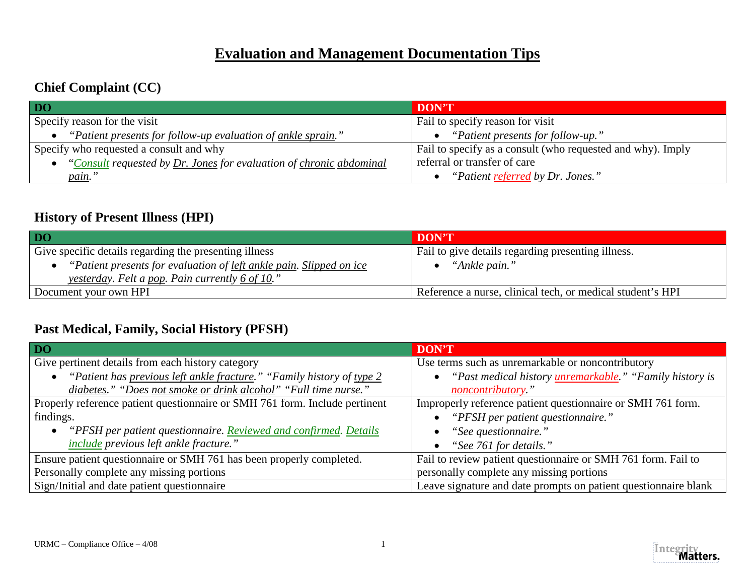## **Evaluation and Management Documentation Tips**

### **Chief Complaint (CC)**

| DO                                                                    | <b>DON'T</b>                                                |
|-----------------------------------------------------------------------|-------------------------------------------------------------|
| Specify reason for the visit                                          | Fail to specify reason for visit                            |
| "Patient presents for follow-up evaluation of <u>ankle sprain</u> ."  | • "Patient presents for follow-up."                         |
| Specify who requested a consult and why                               | Fail to specify as a consult (who requested and why). Imply |
| • "Consult requested by Dr. Jones for evaluation of chronic abdominal | referral or transfer of care                                |
| <i>pain.</i> "                                                        | • "Patient referred by Dr. Jones."                          |

#### **History of Present Illness (HPI)**

| $\overline{D0}$                                                     | DON'T                                                      |
|---------------------------------------------------------------------|------------------------------------------------------------|
| Give specific details regarding the presenting illness              | Fail to give details regarding presenting illness.         |
| "Patient presents for evaluation of left ankle pain. Slipped on ice | "Ankle pain."                                              |
| <i><u>yesterday.</u> Felt a pop. Pain currently 6 of 10."</i>       |                                                            |
| Document your own HPI                                               | Reference a nurse, clinical tech, or medical student's HPI |

#### **Past Medical, Family, Social History (PFSH)**

| <b>DO</b>                                                                   | <b>DON'T</b>                                                                 |
|-----------------------------------------------------------------------------|------------------------------------------------------------------------------|
| Give pertinent details from each history category                           | Use terms such as unremarkable or noncontributory                            |
| "Patient has previous left ankle fracture." "Family history of type 2       | "Past medical history <i>unremarkable.</i> " "Family history is<br>$\bullet$ |
| diabetes." "Does not smoke or drink alcohol" "Full time nurse."             | noncontributory."                                                            |
| Properly reference patient questionnaire or SMH 761 form. Include pertinent | Improperly reference patient questionnaire or SMH 761 form.                  |
| findings.                                                                   | "PFSH per patient questionnaire."                                            |
| "PFSH per patient questionnaire. Reviewed and confirmed. Details            | "See questionnaire."                                                         |
| <i>include</i> previous left ankle fracture."                               | "See 761 for details."                                                       |
| Ensure patient questionnaire or SMH 761 has been properly completed.        | Fail to review patient questionnaire or SMH 761 form. Fail to                |
| Personally complete any missing portions                                    | personally complete any missing portions                                     |
| Sign/Initial and date patient questionnaire                                 | Leave signature and date prompts on patient questionnaire blank              |

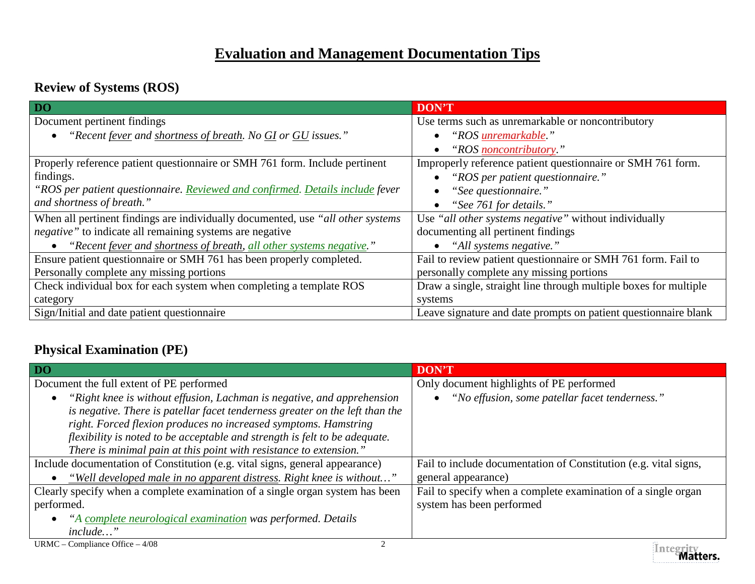# **Evaluation and Management Documentation Tips**

### **Review of Systems (ROS)**

| DO <sub>1</sub>                                                                  | <b>DON'T</b>                                                     |
|----------------------------------------------------------------------------------|------------------------------------------------------------------|
| Document pertinent findings                                                      | Use terms such as unremarkable or noncontributory                |
| "Recent fever and shortness of breath. No GI or GU issues."                      | "ROS <i>unremarkable.</i> "                                      |
|                                                                                  | "ROS noncontributory."                                           |
| Properly reference patient questionnaire or SMH 761 form. Include pertinent      | Improperly reference patient questionnaire or SMH 761 form.      |
| findings.                                                                        | "ROS per patient questionnaire."                                 |
| "ROS per patient questionnaire. Reviewed and confirmed. Details include fever    | "See questionnaire."                                             |
| and shortness of breath."                                                        | "See 761 for details."                                           |
| When all pertinent findings are individually documented, use "all other systems" | Use "all other systems negative" without individually            |
| negative" to indicate all remaining systems are negative                         | documenting all pertinent findings                               |
| "Recent fever and shortness of breath, all other systems negative."              | "All systems negative."                                          |
| Ensure patient questionnaire or SMH 761 has been properly completed.             | Fail to review patient questionnaire or SMH 761 form. Fail to    |
| Personally complete any missing portions                                         | personally complete any missing portions                         |
| Check individual box for each system when completing a template ROS              | Draw a single, straight line through multiple boxes for multiple |
| category                                                                         | systems                                                          |
| Sign/Initial and date patient questionnaire                                      | Leave signature and date prompts on patient questionnaire blank  |

### **Physical Examination (PE)**

| DO                                                                                                                                                                                                                                                                                                                                                                            | <b>DON'T</b>                                                     |
|-------------------------------------------------------------------------------------------------------------------------------------------------------------------------------------------------------------------------------------------------------------------------------------------------------------------------------------------------------------------------------|------------------------------------------------------------------|
| Document the full extent of PE performed                                                                                                                                                                                                                                                                                                                                      | Only document highlights of PE performed                         |
| "Right knee is without effusion, Lachman is negative, and apprehension<br>is negative. There is patellar facet tenderness greater on the left than the<br>right. Forced flexion produces no increased symptoms. Hamstring<br>flexibility is noted to be acceptable and strength is felt to be adequate.<br>There is minimal pain at this point with resistance to extension." | "No effusion, some patellar facet tenderness."                   |
| Include documentation of Constitution (e.g. vital signs, general appearance)                                                                                                                                                                                                                                                                                                  | Fail to include documentation of Constitution (e.g. vital signs, |
| "Well developed male in no apparent distress. Right knee is without"                                                                                                                                                                                                                                                                                                          | general appearance)                                              |
| Clearly specify when a complete examination of a single organ system has been                                                                                                                                                                                                                                                                                                 | Fail to specify when a complete examination of a single organ    |
| performed.                                                                                                                                                                                                                                                                                                                                                                    | system has been performed                                        |
| "A complete neurological examination was performed. Details<br>$\bullet$                                                                                                                                                                                                                                                                                                      |                                                                  |
| <i>include</i> "                                                                                                                                                                                                                                                                                                                                                              |                                                                  |
| URMC – Compliance Office – $4/08$                                                                                                                                                                                                                                                                                                                                             | Tatomin                                                          |